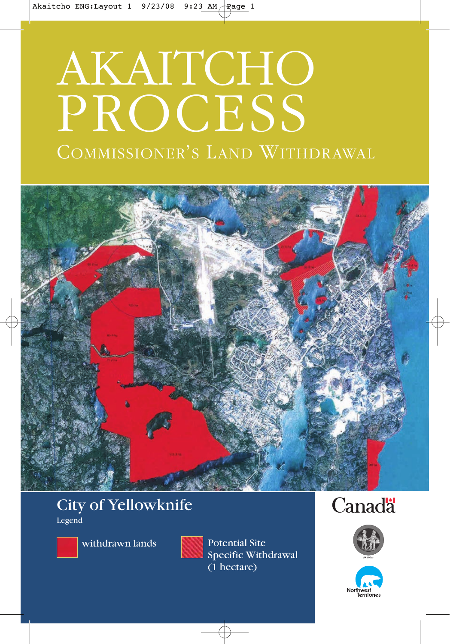# AKAITCHO PROCESS

# COMMISSIONER'S LAND WITHDRAWAL



## City of Yellowknife Legend



withdrawn lands



Potential Site Specific Withdrawal (1 hectare)

# **Canada**